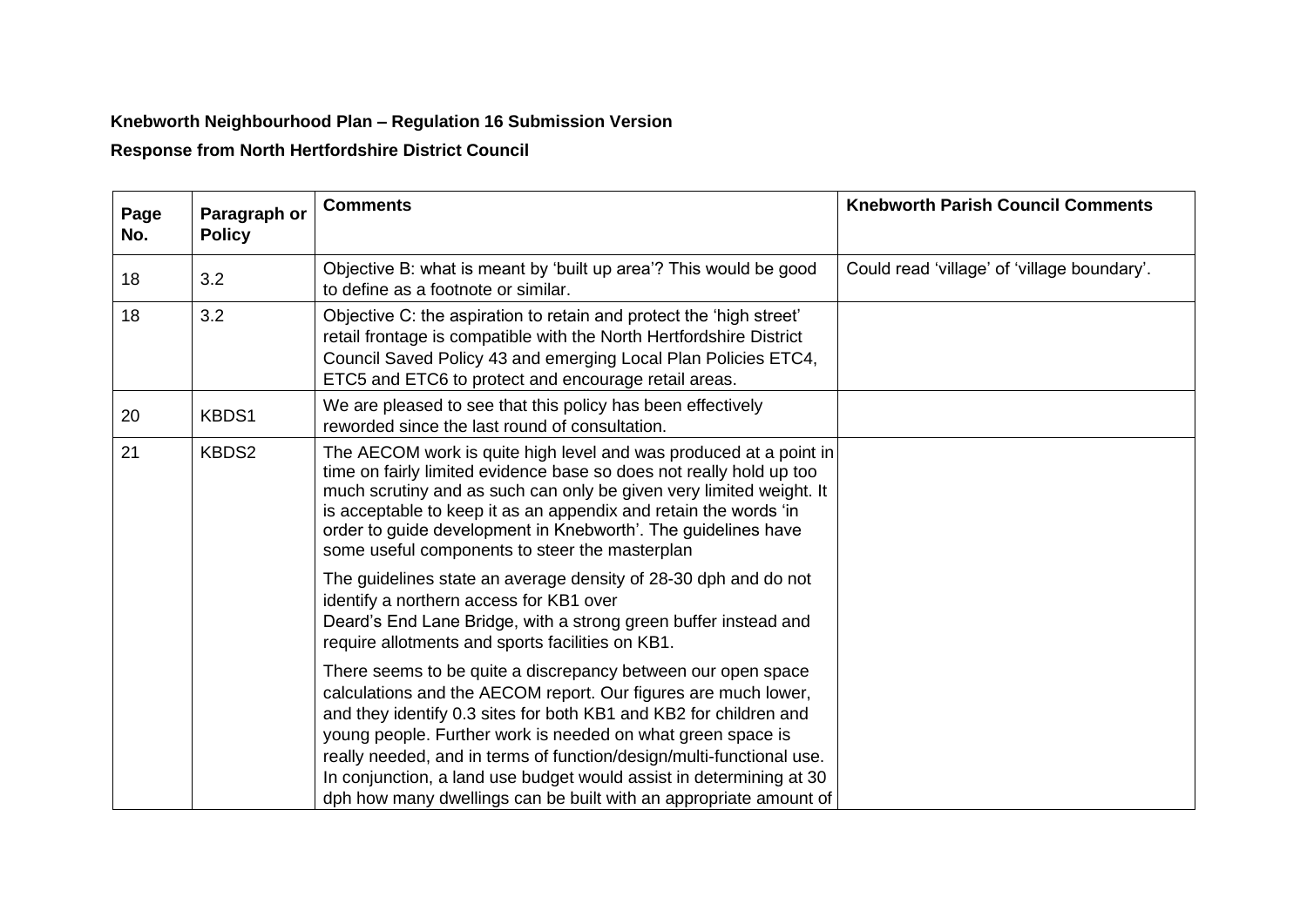## **Knebworth Neighbourhood Plan – Regulation 16 Submission Version**

**Response from North Hertfordshire District Council** 

| Page<br>No. | Paragraph or<br><b>Policy</b> | <b>Comments</b>                                                                                                                                                                                                                                                                                                                                                                                                                                                                        | <b>Knebworth Parish Council Comments</b>    |
|-------------|-------------------------------|----------------------------------------------------------------------------------------------------------------------------------------------------------------------------------------------------------------------------------------------------------------------------------------------------------------------------------------------------------------------------------------------------------------------------------------------------------------------------------------|---------------------------------------------|
| 18          | 3.2                           | Objective B: what is meant by 'built up area'? This would be good<br>to define as a footnote or similar.                                                                                                                                                                                                                                                                                                                                                                               | Could read 'village' of 'village boundary'. |
| 18          | 3.2                           | Objective C: the aspiration to retain and protect the 'high street'<br>retail frontage is compatible with the North Hertfordshire District<br>Council Saved Policy 43 and emerging Local Plan Policies ETC4,<br>ETC5 and ETC6 to protect and encourage retail areas.                                                                                                                                                                                                                   |                                             |
| 20          | KBDS1                         | We are pleased to see that this policy has been effectively<br>reworded since the last round of consultation.                                                                                                                                                                                                                                                                                                                                                                          |                                             |
| 21          | KBDS2                         | The AECOM work is quite high level and was produced at a point in<br>time on fairly limited evidence base so does not really hold up too<br>much scrutiny and as such can only be given very limited weight. It<br>is acceptable to keep it as an appendix and retain the words 'in<br>order to guide development in Knebworth'. The guidelines have<br>some useful components to steer the masterplan                                                                                 |                                             |
|             |                               | The guidelines state an average density of 28-30 dph and do not<br>identify a northern access for KB1 over<br>Deard's End Lane Bridge, with a strong green buffer instead and<br>require allotments and sports facilities on KB1.                                                                                                                                                                                                                                                      |                                             |
|             |                               | There seems to be quite a discrepancy between our open space<br>calculations and the AECOM report. Our figures are much lower,<br>and they identify 0.3 sites for both KB1 and KB2 for children and<br>young people. Further work is needed on what green space is<br>really needed, and in terms of function/design/multi-functional use.<br>In conjunction, a land use budget would assist in determining at 30<br>dph how many dwellings can be built with an appropriate amount of |                                             |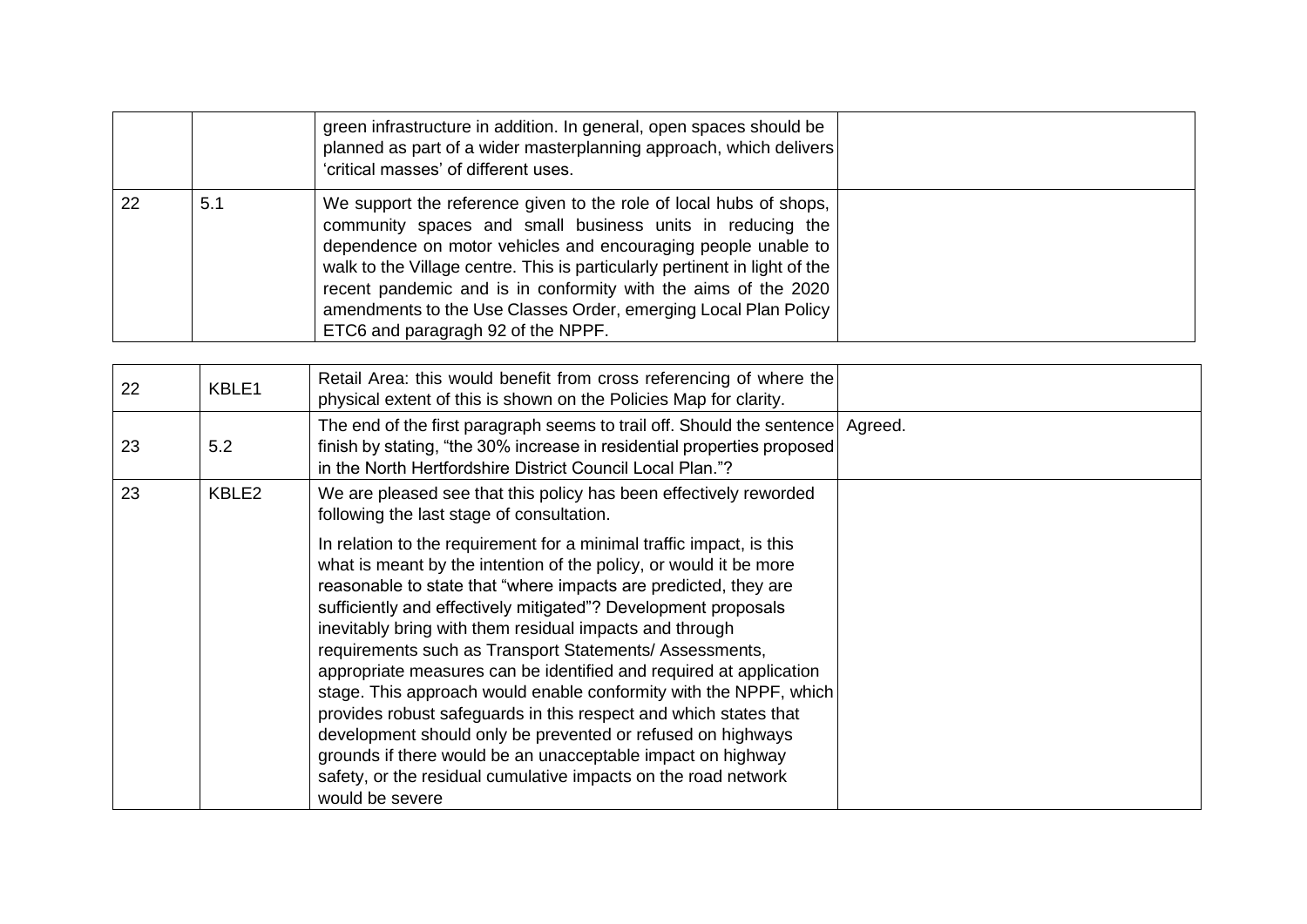|    |     | green infrastructure in addition. In general, open spaces should be<br>planned as part of a wider masterplanning approach, which delivers<br>'critical masses' of different uses.                                                                                                                                                                                                                                                                         |  |
|----|-----|-----------------------------------------------------------------------------------------------------------------------------------------------------------------------------------------------------------------------------------------------------------------------------------------------------------------------------------------------------------------------------------------------------------------------------------------------------------|--|
| 22 | 5.1 | We support the reference given to the role of local hubs of shops,<br>community spaces and small business units in reducing the<br>dependence on motor vehicles and encouraging people unable to<br>walk to the Village centre. This is particularly pertinent in light of the<br>recent pandemic and is in conformity with the aims of the 2020<br>amendments to the Use Classes Order, emerging Local Plan Policy<br>ETC6 and paragragh 92 of the NPPF. |  |

| 22 | KBLE1 | Retail Area: this would benefit from cross referencing of where the<br>physical extent of this is shown on the Policies Map for clarity.                                                                                                                                                                                                                                                                                                                                                                                                                                                                                                                                                                                                                                                                                               |  |
|----|-------|----------------------------------------------------------------------------------------------------------------------------------------------------------------------------------------------------------------------------------------------------------------------------------------------------------------------------------------------------------------------------------------------------------------------------------------------------------------------------------------------------------------------------------------------------------------------------------------------------------------------------------------------------------------------------------------------------------------------------------------------------------------------------------------------------------------------------------------|--|
| 23 | 5.2   | The end of the first paragraph seems to trail off. Should the sentence Agreed.<br>finish by stating, "the 30% increase in residential properties proposed<br>in the North Hertfordshire District Council Local Plan."?                                                                                                                                                                                                                                                                                                                                                                                                                                                                                                                                                                                                                 |  |
| 23 | KBLE2 | We are pleased see that this policy has been effectively reworded<br>following the last stage of consultation.                                                                                                                                                                                                                                                                                                                                                                                                                                                                                                                                                                                                                                                                                                                         |  |
|    |       | In relation to the requirement for a minimal traffic impact, is this<br>what is meant by the intention of the policy, or would it be more<br>reasonable to state that "where impacts are predicted, they are<br>sufficiently and effectively mitigated"? Development proposals<br>inevitably bring with them residual impacts and through<br>requirements such as Transport Statements/ Assessments,<br>appropriate measures can be identified and required at application<br>stage. This approach would enable conformity with the NPPF, which<br>provides robust safeguards in this respect and which states that<br>development should only be prevented or refused on highways<br>grounds if there would be an unacceptable impact on highway<br>safety, or the residual cumulative impacts on the road network<br>would be severe |  |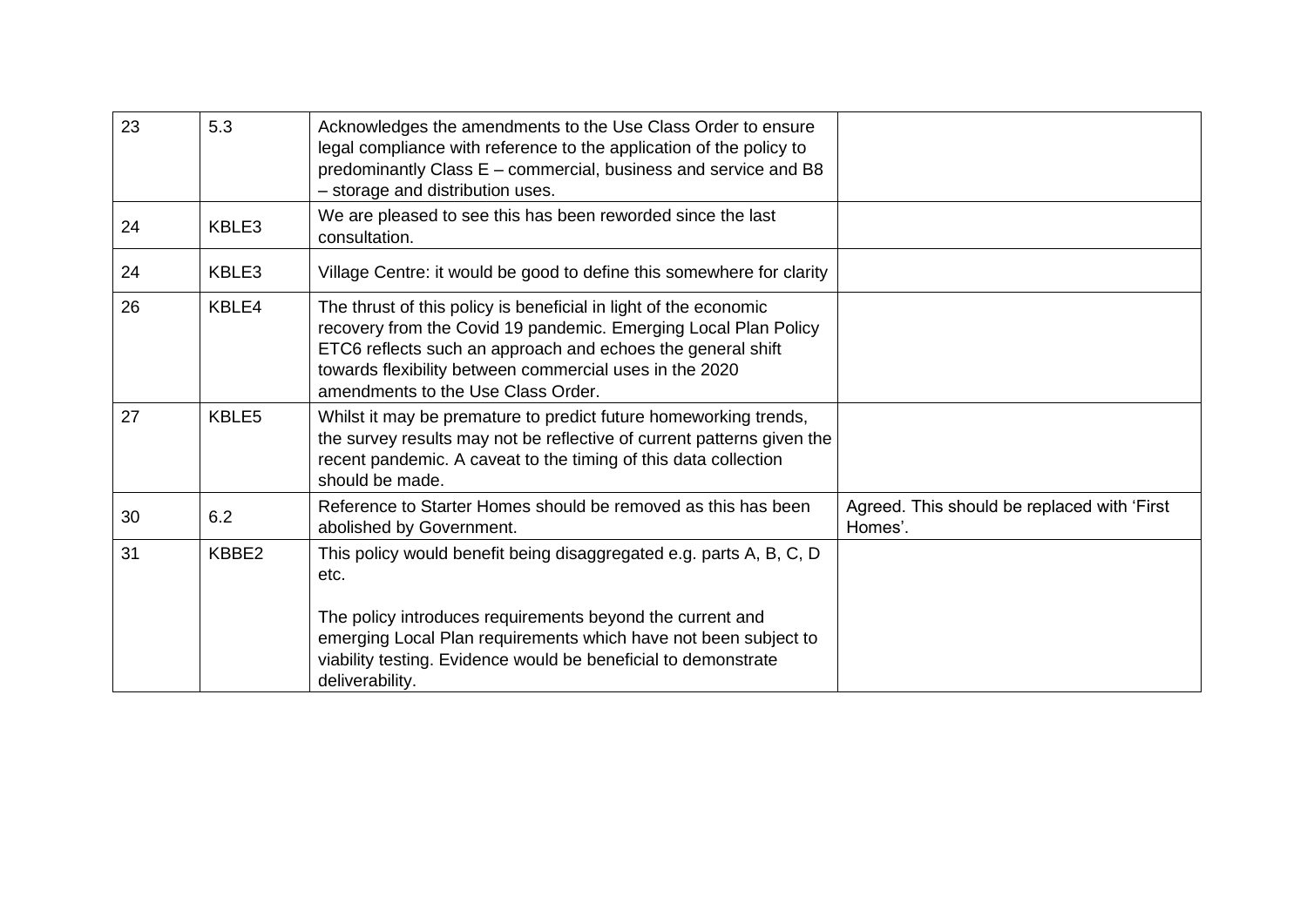| 23 | 5.3   | Acknowledges the amendments to the Use Class Order to ensure<br>legal compliance with reference to the application of the policy to<br>predominantly Class E - commercial, business and service and B8<br>- storage and distribution uses.                                                          |                                                        |
|----|-------|-----------------------------------------------------------------------------------------------------------------------------------------------------------------------------------------------------------------------------------------------------------------------------------------------------|--------------------------------------------------------|
| 24 | KBLE3 | We are pleased to see this has been reworded since the last<br>consultation.                                                                                                                                                                                                                        |                                                        |
| 24 | KBLE3 | Village Centre: it would be good to define this somewhere for clarity                                                                                                                                                                                                                               |                                                        |
| 26 | KBLE4 | The thrust of this policy is beneficial in light of the economic<br>recovery from the Covid 19 pandemic. Emerging Local Plan Policy<br>ETC6 reflects such an approach and echoes the general shift<br>towards flexibility between commercial uses in the 2020<br>amendments to the Use Class Order. |                                                        |
| 27 | KBLE5 | Whilst it may be premature to predict future homeworking trends,<br>the survey results may not be reflective of current patterns given the<br>recent pandemic. A caveat to the timing of this data collection<br>should be made.                                                                    |                                                        |
| 30 | 6.2   | Reference to Starter Homes should be removed as this has been<br>abolished by Government.                                                                                                                                                                                                           | Agreed. This should be replaced with 'First<br>Homes'. |
| 31 | KBBE2 | This policy would benefit being disaggregated e.g. parts A, B, C, D<br>etc.                                                                                                                                                                                                                         |                                                        |
|    |       | The policy introduces requirements beyond the current and<br>emerging Local Plan requirements which have not been subject to<br>viability testing. Evidence would be beneficial to demonstrate<br>deliverability.                                                                                   |                                                        |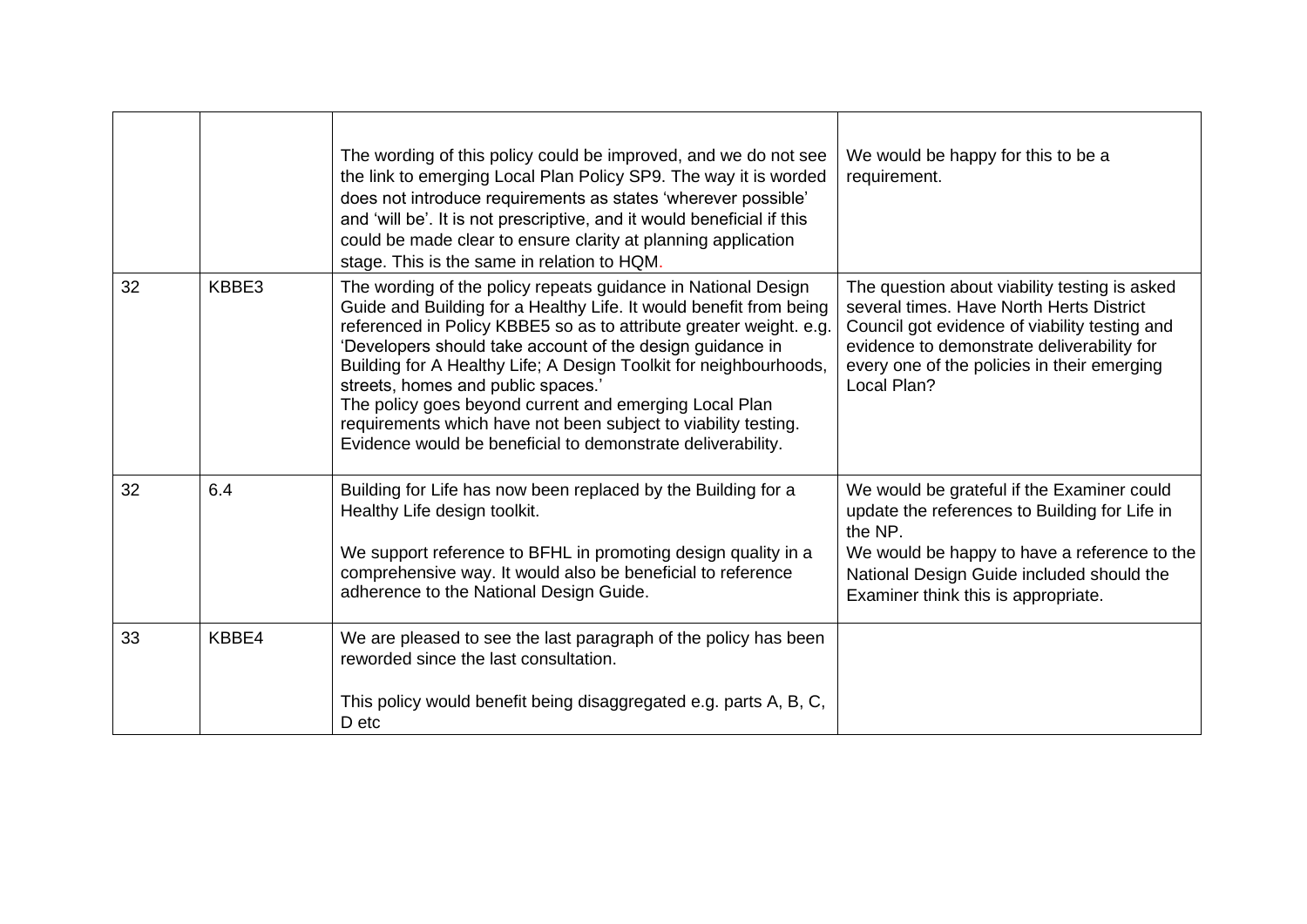|    |       | The wording of this policy could be improved, and we do not see<br>the link to emerging Local Plan Policy SP9. The way it is worded<br>does not introduce requirements as states 'wherever possible'<br>and 'will be'. It is not prescriptive, and it would beneficial if this<br>could be made clear to ensure clarity at planning application<br>stage. This is the same in relation to HQM.                                                                                                                                                                               | We would be happy for this to be a<br>requirement.                                                                                                                                                                                                     |
|----|-------|------------------------------------------------------------------------------------------------------------------------------------------------------------------------------------------------------------------------------------------------------------------------------------------------------------------------------------------------------------------------------------------------------------------------------------------------------------------------------------------------------------------------------------------------------------------------------|--------------------------------------------------------------------------------------------------------------------------------------------------------------------------------------------------------------------------------------------------------|
| 32 | KBBE3 | The wording of the policy repeats guidance in National Design<br>Guide and Building for a Healthy Life. It would benefit from being<br>referenced in Policy KBBE5 so as to attribute greater weight. e.g.<br>'Developers should take account of the design guidance in<br>Building for A Healthy Life; A Design Toolkit for neighbourhoods,<br>streets, homes and public spaces.'<br>The policy goes beyond current and emerging Local Plan<br>requirements which have not been subject to viability testing.<br>Evidence would be beneficial to demonstrate deliverability. | The question about viability testing is asked<br>several times. Have North Herts District<br>Council got evidence of viability testing and<br>evidence to demonstrate deliverability for<br>every one of the policies in their emerging<br>Local Plan? |
| 32 | 6.4   | Building for Life has now been replaced by the Building for a<br>Healthy Life design toolkit.<br>We support reference to BFHL in promoting design quality in a<br>comprehensive way. It would also be beneficial to reference<br>adherence to the National Design Guide.                                                                                                                                                                                                                                                                                                     | We would be grateful if the Examiner could<br>update the references to Building for Life in<br>the NP.<br>We would be happy to have a reference to the<br>National Design Guide included should the<br>Examiner think this is appropriate.             |
| 33 | KBBE4 | We are pleased to see the last paragraph of the policy has been<br>reworded since the last consultation.<br>This policy would benefit being disaggregated e.g. parts A, B, C,<br>D etc                                                                                                                                                                                                                                                                                                                                                                                       |                                                                                                                                                                                                                                                        |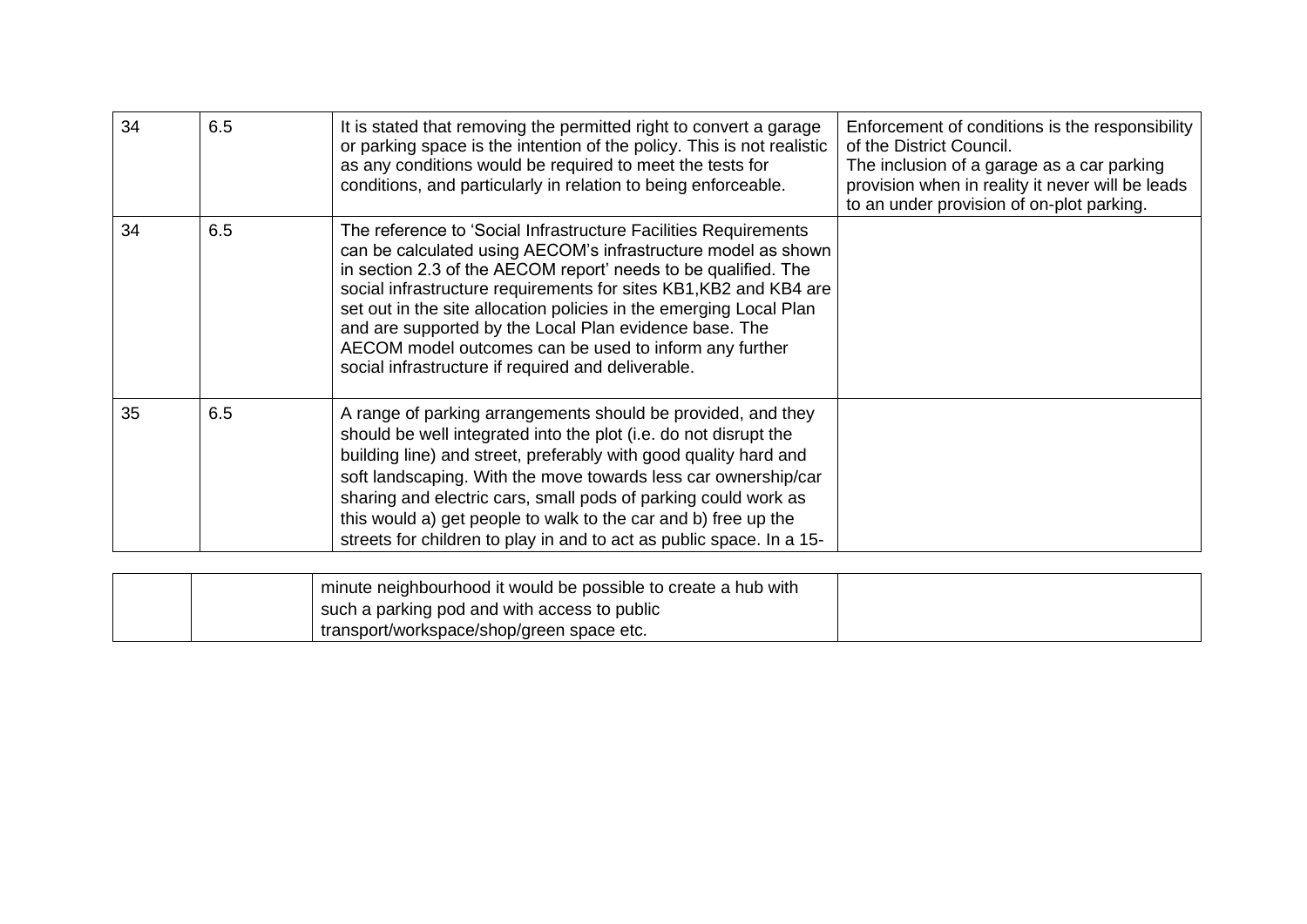| 34 | 6.5 | It is stated that removing the permitted right to convert a garage<br>or parking space is the intention of the policy. This is not realistic<br>as any conditions would be required to meet the tests for<br>conditions, and particularly in relation to being enforceable.                                                                                                                                                                                                                                             | Enforcement of conditions is the responsibility<br>of the District Council.<br>The inclusion of a garage as a car parking<br>provision when in reality it never will be leads<br>to an under provision of on-plot parking. |
|----|-----|-------------------------------------------------------------------------------------------------------------------------------------------------------------------------------------------------------------------------------------------------------------------------------------------------------------------------------------------------------------------------------------------------------------------------------------------------------------------------------------------------------------------------|----------------------------------------------------------------------------------------------------------------------------------------------------------------------------------------------------------------------------|
| 34 | 6.5 | The reference to 'Social Infrastructure Facilities Requirements<br>can be calculated using AECOM's infrastructure model as shown<br>in section 2.3 of the AECOM report' needs to be qualified. The<br>social infrastructure requirements for sites KB1, KB2 and KB4 are<br>set out in the site allocation policies in the emerging Local Plan<br>and are supported by the Local Plan evidence base. The<br>AECOM model outcomes can be used to inform any further<br>social infrastructure if required and deliverable. |                                                                                                                                                                                                                            |
| 35 | 6.5 | A range of parking arrangements should be provided, and they<br>should be well integrated into the plot (i.e. do not disrupt the<br>building line) and street, preferably with good quality hard and<br>soft landscaping. With the move towards less car ownership/car<br>sharing and electric cars, small pods of parking could work as<br>this would a) get people to walk to the car and b) free up the<br>streets for children to play in and to act as public space. In a 15-                                      |                                                                                                                                                                                                                            |
|    |     | minute neighbourhood it would be possible to create a hub with                                                                                                                                                                                                                                                                                                                                                                                                                                                          |                                                                                                                                                                                                                            |
|    |     | such a parking pod and with access to public                                                                                                                                                                                                                                                                                                                                                                                                                                                                            |                                                                                                                                                                                                                            |

transport/workspace/shop/green space etc.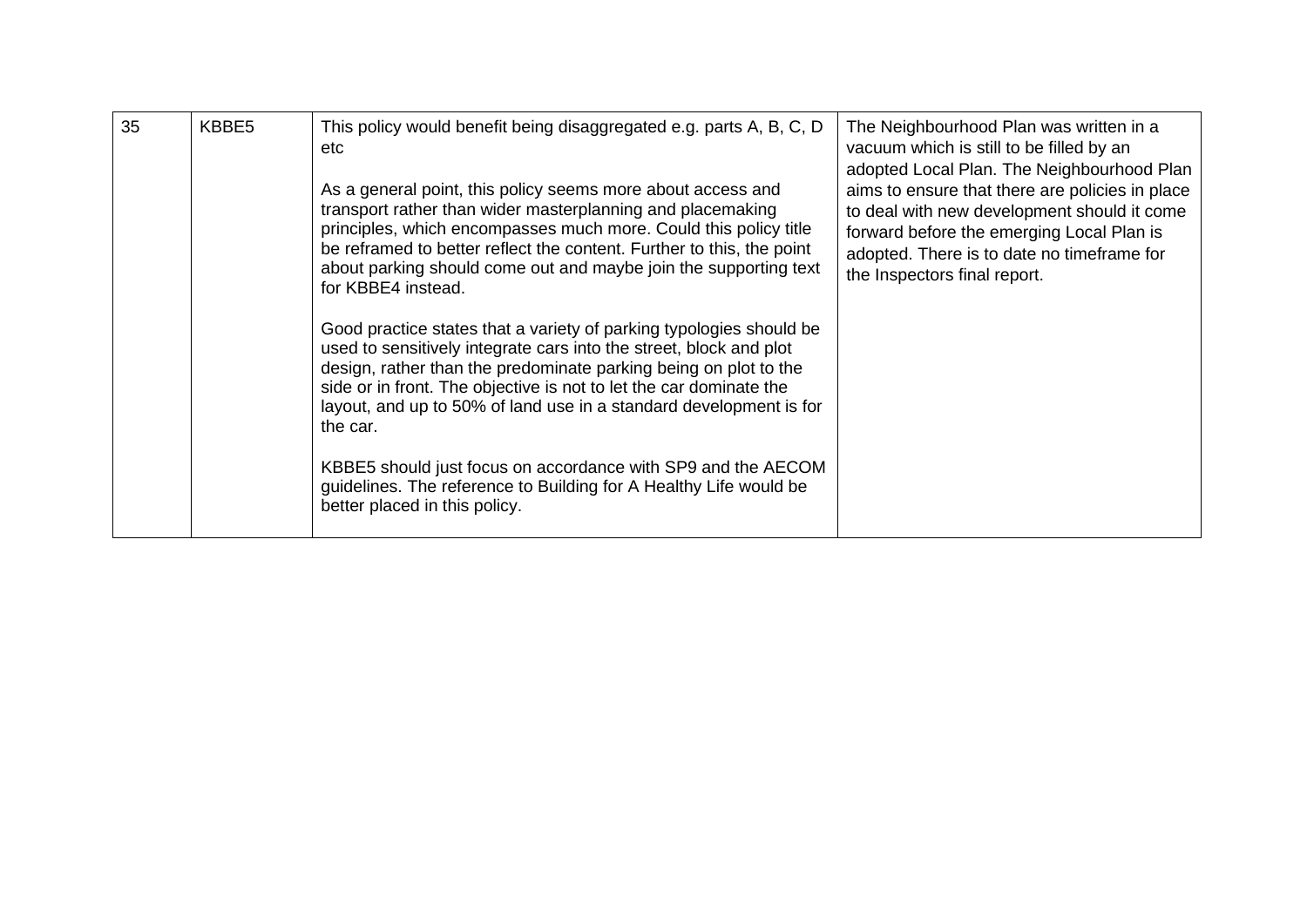| 35 | KBBE5 | This policy would benefit being disaggregated e.g. parts A, B, C, D<br>etc<br>As a general point, this policy seems more about access and<br>transport rather than wider masterplanning and placemaking<br>principles, which encompasses much more. Could this policy title<br>be reframed to better reflect the content. Further to this, the point<br>about parking should come out and maybe join the supporting text<br>for KBBE4 instead.                                                             | The Neighbourhood Plan was written in a<br>vacuum which is still to be filled by an<br>adopted Local Plan. The Neighbourhood Plan<br>aims to ensure that there are policies in place<br>to deal with new development should it come<br>forward before the emerging Local Plan is<br>adopted. There is to date no timeframe for<br>the Inspectors final report. |
|----|-------|------------------------------------------------------------------------------------------------------------------------------------------------------------------------------------------------------------------------------------------------------------------------------------------------------------------------------------------------------------------------------------------------------------------------------------------------------------------------------------------------------------|----------------------------------------------------------------------------------------------------------------------------------------------------------------------------------------------------------------------------------------------------------------------------------------------------------------------------------------------------------------|
|    |       | Good practice states that a variety of parking typologies should be<br>used to sensitively integrate cars into the street, block and plot<br>design, rather than the predominate parking being on plot to the<br>side or in front. The objective is not to let the car dominate the<br>layout, and up to 50% of land use in a standard development is for<br>the car.<br>KBBE5 should just focus on accordance with SP9 and the AECOM<br>guidelines. The reference to Building for A Healthy Life would be |                                                                                                                                                                                                                                                                                                                                                                |
|    |       | better placed in this policy.                                                                                                                                                                                                                                                                                                                                                                                                                                                                              |                                                                                                                                                                                                                                                                                                                                                                |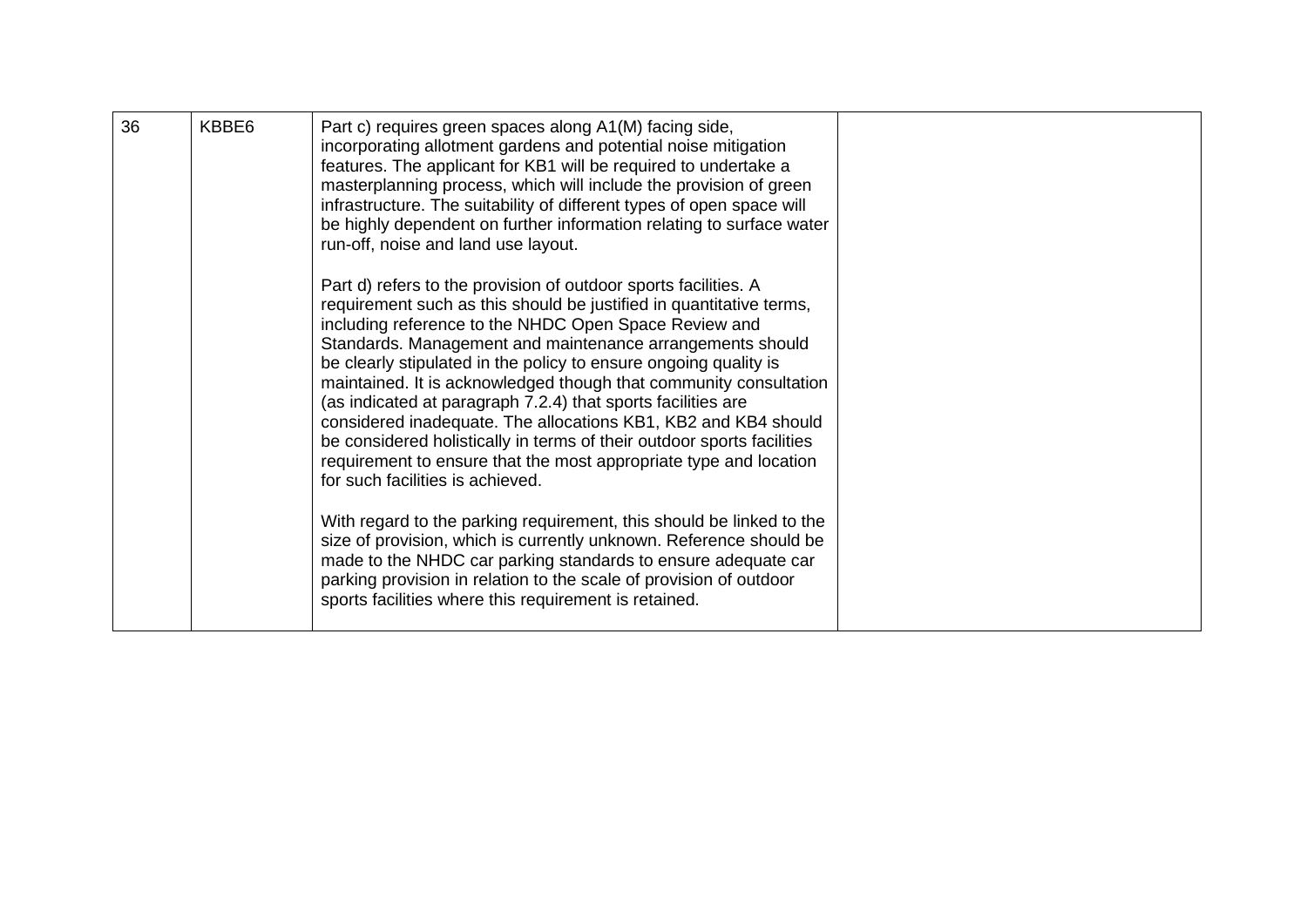| 36 | KBBE6 | Part c) requires green spaces along A1(M) facing side,<br>incorporating allotment gardens and potential noise mitigation<br>features. The applicant for KB1 will be required to undertake a<br>masterplanning process, which will include the provision of green<br>infrastructure. The suitability of different types of open space will<br>be highly dependent on further information relating to surface water<br>run-off, noise and land use layout.                                                                                                                                                                                                                                                                   |  |
|----|-------|----------------------------------------------------------------------------------------------------------------------------------------------------------------------------------------------------------------------------------------------------------------------------------------------------------------------------------------------------------------------------------------------------------------------------------------------------------------------------------------------------------------------------------------------------------------------------------------------------------------------------------------------------------------------------------------------------------------------------|--|
|    |       | Part d) refers to the provision of outdoor sports facilities. A<br>requirement such as this should be justified in quantitative terms,<br>including reference to the NHDC Open Space Review and<br>Standards. Management and maintenance arrangements should<br>be clearly stipulated in the policy to ensure ongoing quality is<br>maintained. It is acknowledged though that community consultation<br>(as indicated at paragraph 7.2.4) that sports facilities are<br>considered inadequate. The allocations KB1, KB2 and KB4 should<br>be considered holistically in terms of their outdoor sports facilities<br>requirement to ensure that the most appropriate type and location<br>for such facilities is achieved. |  |
|    |       | With regard to the parking requirement, this should be linked to the<br>size of provision, which is currently unknown. Reference should be<br>made to the NHDC car parking standards to ensure adequate car<br>parking provision in relation to the scale of provision of outdoor<br>sports facilities where this requirement is retained.                                                                                                                                                                                                                                                                                                                                                                                 |  |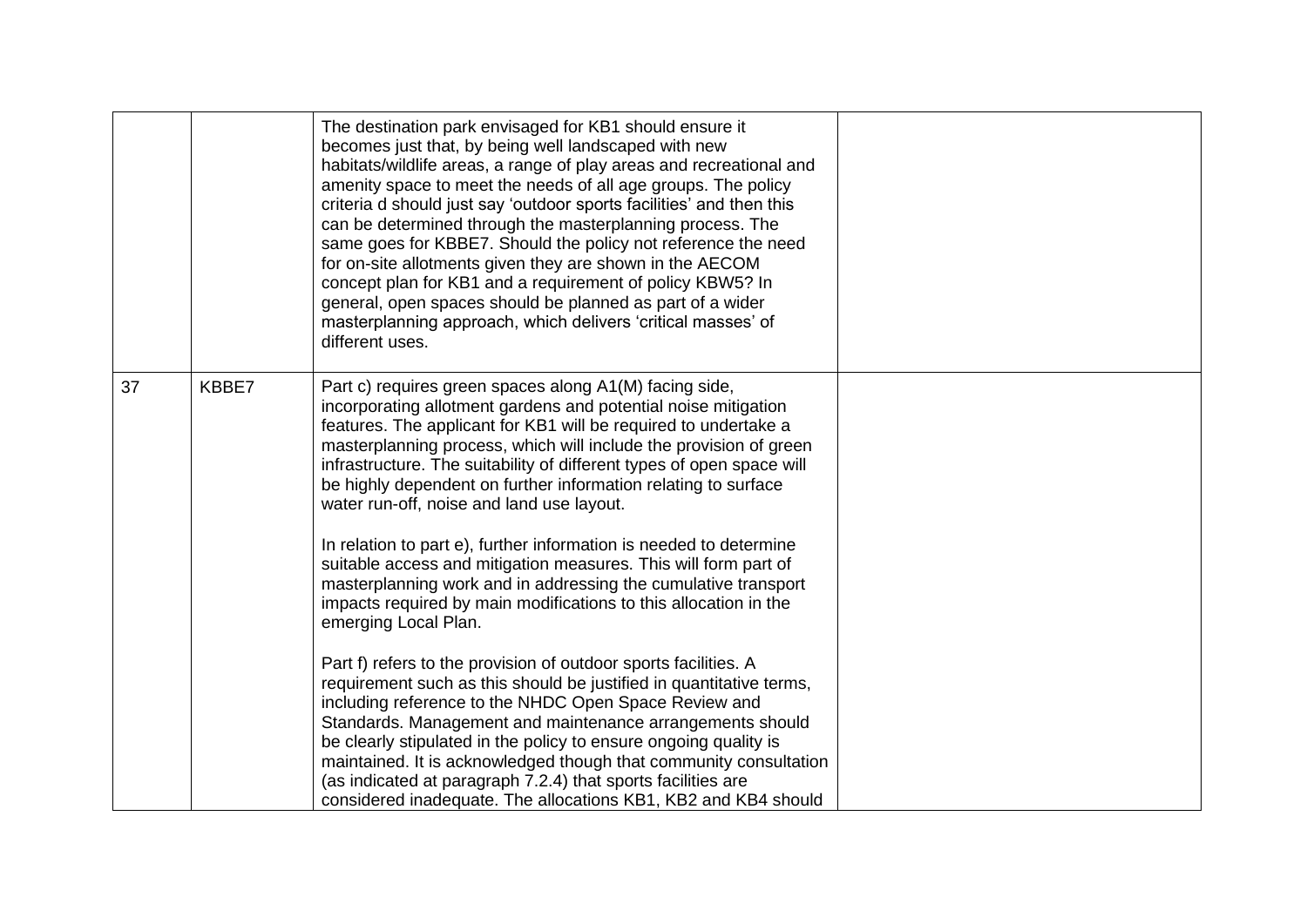|    |       | The destination park envisaged for KB1 should ensure it<br>becomes just that, by being well landscaped with new<br>habitats/wildlife areas, a range of play areas and recreational and<br>amenity space to meet the needs of all age groups. The policy<br>criteria d should just say 'outdoor sports facilities' and then this<br>can be determined through the masterplanning process. The<br>same goes for KBBE7. Should the policy not reference the need<br>for on-site allotments given they are shown in the AECOM<br>concept plan for KB1 and a requirement of policy KBW5? In<br>general, open spaces should be planned as part of a wider<br>masterplanning approach, which delivers 'critical masses' of<br>different uses. |  |
|----|-------|----------------------------------------------------------------------------------------------------------------------------------------------------------------------------------------------------------------------------------------------------------------------------------------------------------------------------------------------------------------------------------------------------------------------------------------------------------------------------------------------------------------------------------------------------------------------------------------------------------------------------------------------------------------------------------------------------------------------------------------|--|
| 37 | KBBE7 | Part c) requires green spaces along A1(M) facing side,<br>incorporating allotment gardens and potential noise mitigation<br>features. The applicant for KB1 will be required to undertake a<br>masterplanning process, which will include the provision of green<br>infrastructure. The suitability of different types of open space will<br>be highly dependent on further information relating to surface<br>water run-off, noise and land use layout.                                                                                                                                                                                                                                                                               |  |
|    |       | In relation to part e), further information is needed to determine<br>suitable access and mitigation measures. This will form part of<br>masterplanning work and in addressing the cumulative transport<br>impacts required by main modifications to this allocation in the<br>emerging Local Plan.                                                                                                                                                                                                                                                                                                                                                                                                                                    |  |
|    |       | Part f) refers to the provision of outdoor sports facilities. A<br>requirement such as this should be justified in quantitative terms,<br>including reference to the NHDC Open Space Review and<br>Standards. Management and maintenance arrangements should<br>be clearly stipulated in the policy to ensure ongoing quality is<br>maintained. It is acknowledged though that community consultation<br>(as indicated at paragraph 7.2.4) that sports facilities are<br>considered inadequate. The allocations KB1, KB2 and KB4 should                                                                                                                                                                                                |  |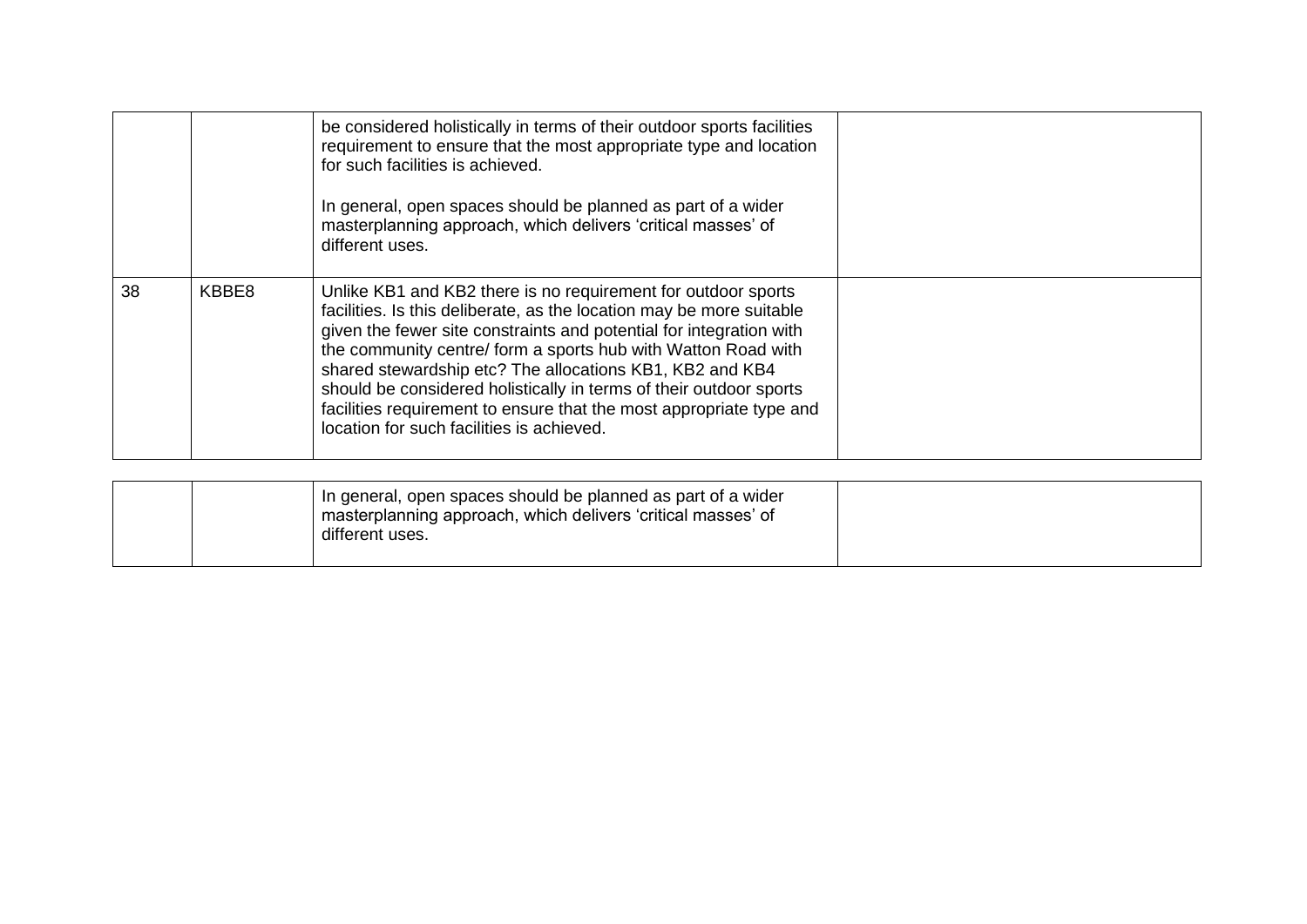|    |       | be considered holistically in terms of their outdoor sports facilities<br>requirement to ensure that the most appropriate type and location<br>for such facilities is achieved.<br>In general, open spaces should be planned as part of a wider<br>masterplanning approach, which delivers 'critical masses' of<br>different uses.                                                                                                                                                                                                  |  |
|----|-------|-------------------------------------------------------------------------------------------------------------------------------------------------------------------------------------------------------------------------------------------------------------------------------------------------------------------------------------------------------------------------------------------------------------------------------------------------------------------------------------------------------------------------------------|--|
| 38 | KBBE8 | Unlike KB1 and KB2 there is no requirement for outdoor sports<br>facilities. Is this deliberate, as the location may be more suitable<br>given the fewer site constraints and potential for integration with<br>the community centre/ form a sports hub with Watton Road with<br>shared stewardship etc? The allocations KB1, KB2 and KB4<br>should be considered holistically in terms of their outdoor sports<br>facilities requirement to ensure that the most appropriate type and<br>location for such facilities is achieved. |  |

| In general, open spaces should be planned as part of a wider<br>I masterplanning approach, which delivers 'critical masses' of<br>different uses. |  |
|---------------------------------------------------------------------------------------------------------------------------------------------------|--|
|---------------------------------------------------------------------------------------------------------------------------------------------------|--|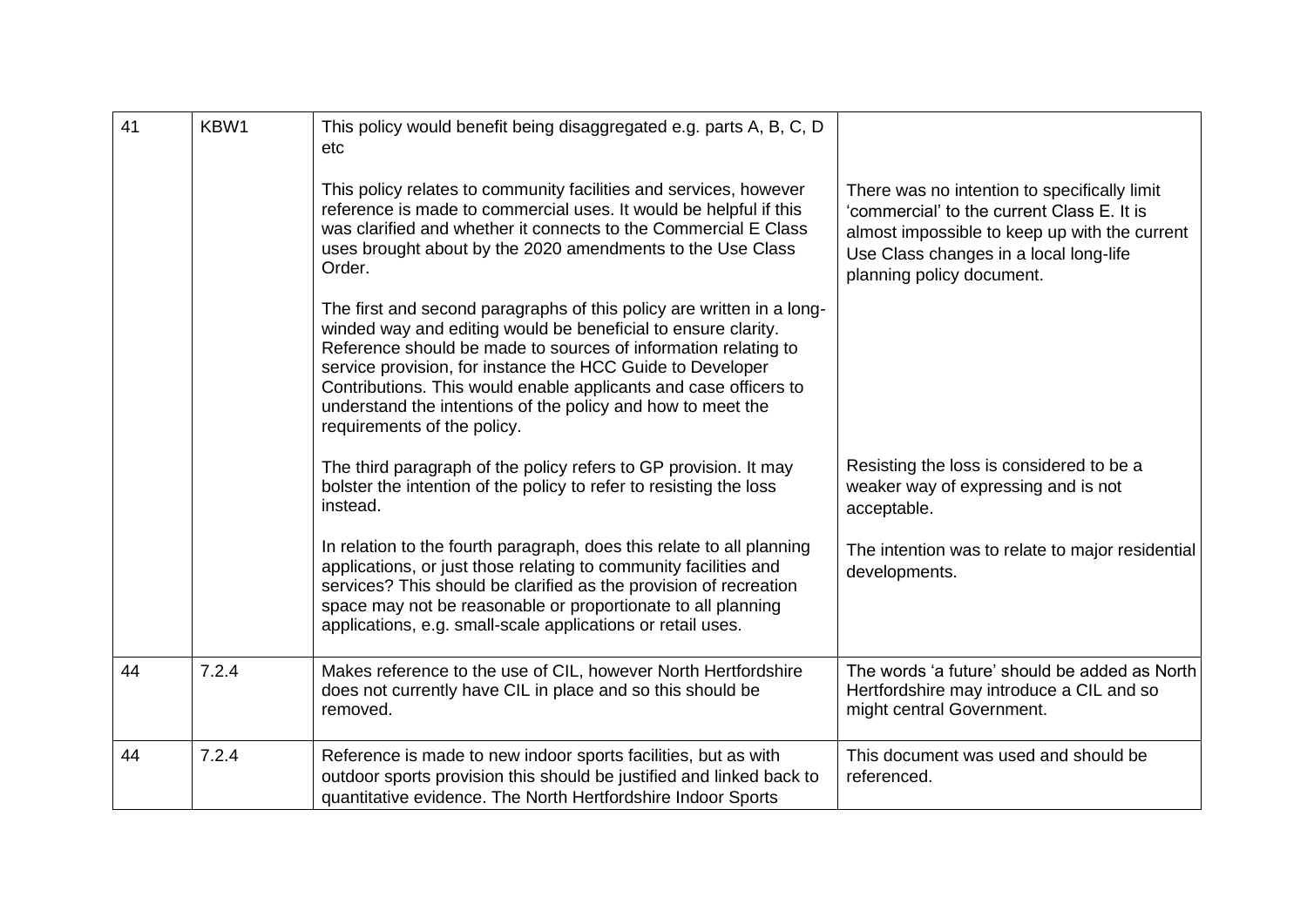| 41 | KBW1  | This policy would benefit being disaggregated e.g. parts A, B, C, D<br>etc<br>This policy relates to community facilities and services, however<br>reference is made to commercial uses. It would be helpful if this<br>was clarified and whether it connects to the Commercial E Class<br>uses brought about by the 2020 amendments to the Use Class<br>Order.<br>The first and second paragraphs of this policy are written in a long-<br>winded way and editing would be beneficial to ensure clarity.<br>Reference should be made to sources of information relating to<br>service provision, for instance the HCC Guide to Developer<br>Contributions. This would enable applicants and case officers to<br>understand the intentions of the policy and how to meet the<br>requirements of the policy. | There was no intention to specifically limit<br>'commercial' to the current Class E. It is<br>almost impossible to keep up with the current<br>Use Class changes in a local long-life<br>planning policy document. |
|----|-------|-------------------------------------------------------------------------------------------------------------------------------------------------------------------------------------------------------------------------------------------------------------------------------------------------------------------------------------------------------------------------------------------------------------------------------------------------------------------------------------------------------------------------------------------------------------------------------------------------------------------------------------------------------------------------------------------------------------------------------------------------------------------------------------------------------------|--------------------------------------------------------------------------------------------------------------------------------------------------------------------------------------------------------------------|
|    |       | The third paragraph of the policy refers to GP provision. It may<br>bolster the intention of the policy to refer to resisting the loss<br>instead.                                                                                                                                                                                                                                                                                                                                                                                                                                                                                                                                                                                                                                                          | Resisting the loss is considered to be a<br>weaker way of expressing and is not<br>acceptable.                                                                                                                     |
|    |       | In relation to the fourth paragraph, does this relate to all planning<br>applications, or just those relating to community facilities and<br>services? This should be clarified as the provision of recreation<br>space may not be reasonable or proportionate to all planning<br>applications, e.g. small-scale applications or retail uses.                                                                                                                                                                                                                                                                                                                                                                                                                                                               | The intention was to relate to major residential<br>developments.                                                                                                                                                  |
| 44 | 7.2.4 | Makes reference to the use of CIL, however North Hertfordshire<br>does not currently have CIL in place and so this should be<br>removed.                                                                                                                                                                                                                                                                                                                                                                                                                                                                                                                                                                                                                                                                    | The words 'a future' should be added as North<br>Hertfordshire may introduce a CIL and so<br>might central Government.                                                                                             |
| 44 | 7.2.4 | Reference is made to new indoor sports facilities, but as with<br>outdoor sports provision this should be justified and linked back to<br>quantitative evidence. The North Hertfordshire Indoor Sports                                                                                                                                                                                                                                                                                                                                                                                                                                                                                                                                                                                                      | This document was used and should be<br>referenced.                                                                                                                                                                |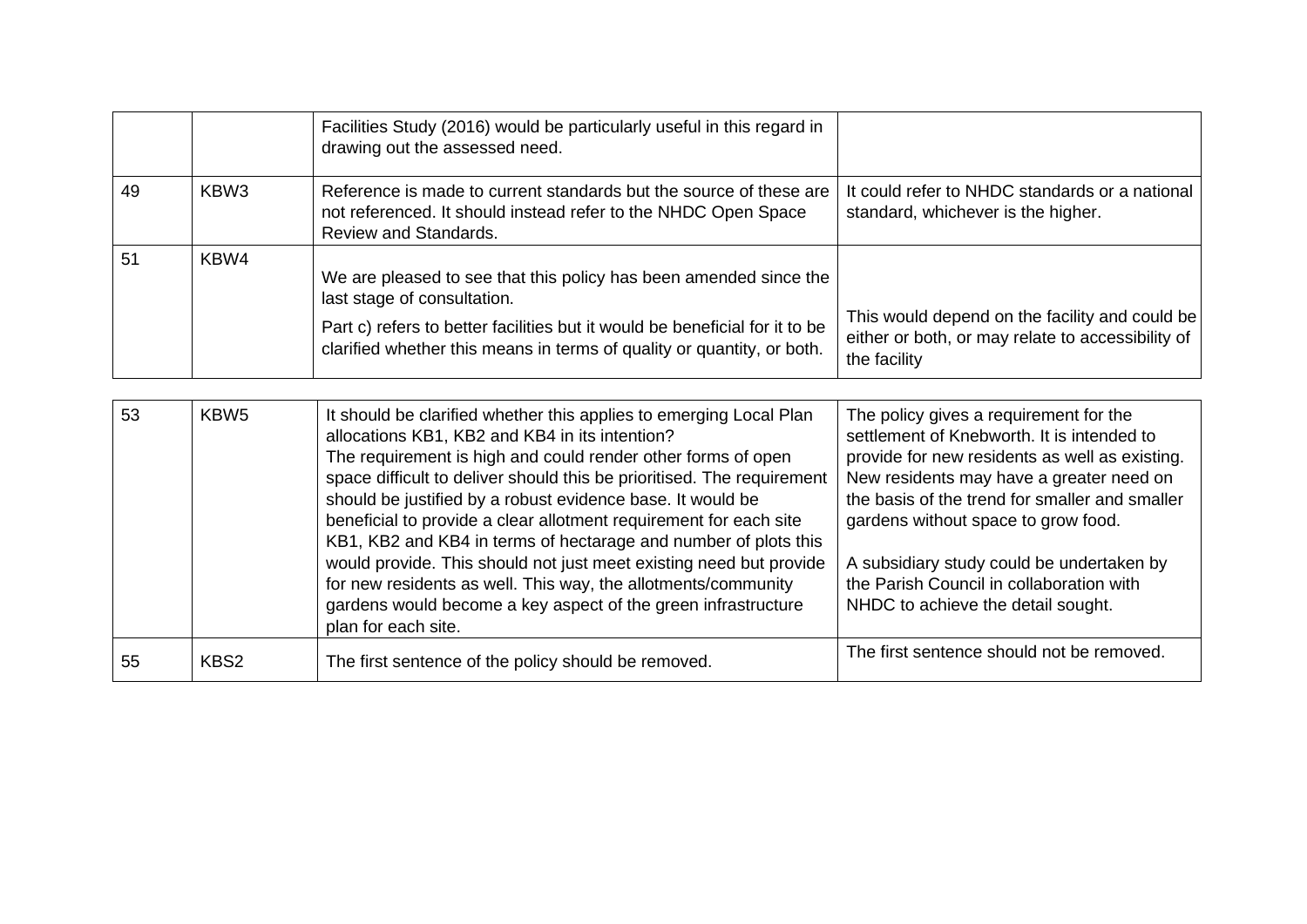|    |                  | Facilities Study (2016) would be particularly useful in this regard in<br>drawing out the assessed need.                                                                                                                                                                                                                                                                                                                                                                                                                                                                                                                                                                                            |                                                                                                                                                                                                                                                                                                                                                                                                            |
|----|------------------|-----------------------------------------------------------------------------------------------------------------------------------------------------------------------------------------------------------------------------------------------------------------------------------------------------------------------------------------------------------------------------------------------------------------------------------------------------------------------------------------------------------------------------------------------------------------------------------------------------------------------------------------------------------------------------------------------------|------------------------------------------------------------------------------------------------------------------------------------------------------------------------------------------------------------------------------------------------------------------------------------------------------------------------------------------------------------------------------------------------------------|
| 49 | KBW <sub>3</sub> | Reference is made to current standards but the source of these are<br>not referenced. It should instead refer to the NHDC Open Space<br><b>Review and Standards.</b>                                                                                                                                                                                                                                                                                                                                                                                                                                                                                                                                | It could refer to NHDC standards or a national<br>standard, whichever is the higher.                                                                                                                                                                                                                                                                                                                       |
| 51 | KBW4             | We are pleased to see that this policy has been amended since the<br>last stage of consultation.<br>Part c) refers to better facilities but it would be beneficial for it to be<br>clarified whether this means in terms of quality or quantity, or both.                                                                                                                                                                                                                                                                                                                                                                                                                                           | This would depend on the facility and could be<br>either or both, or may relate to accessibility of<br>the facility                                                                                                                                                                                                                                                                                        |
| 53 | KBW <sub>5</sub> | It should be clarified whether this applies to emerging Local Plan<br>allocations KB1, KB2 and KB4 in its intention?<br>The requirement is high and could render other forms of open<br>space difficult to deliver should this be prioritised. The requirement<br>should be justified by a robust evidence base. It would be<br>beneficial to provide a clear allotment requirement for each site<br>KB1, KB2 and KB4 in terms of hectarage and number of plots this<br>would provide. This should not just meet existing need but provide<br>for new residents as well. This way, the allotments/community<br>gardens would become a key aspect of the green infrastructure<br>plan for each site. | The policy gives a requirement for the<br>settlement of Knebworth. It is intended to<br>provide for new residents as well as existing.<br>New residents may have a greater need on<br>the basis of the trend for smaller and smaller<br>gardens without space to grow food.<br>A subsidiary study could be undertaken by<br>the Parish Council in collaboration with<br>NHDC to achieve the detail sought. |
| 55 | KBS2             | The first sentence of the policy should be removed.                                                                                                                                                                                                                                                                                                                                                                                                                                                                                                                                                                                                                                                 | The first sentence should not be removed.                                                                                                                                                                                                                                                                                                                                                                  |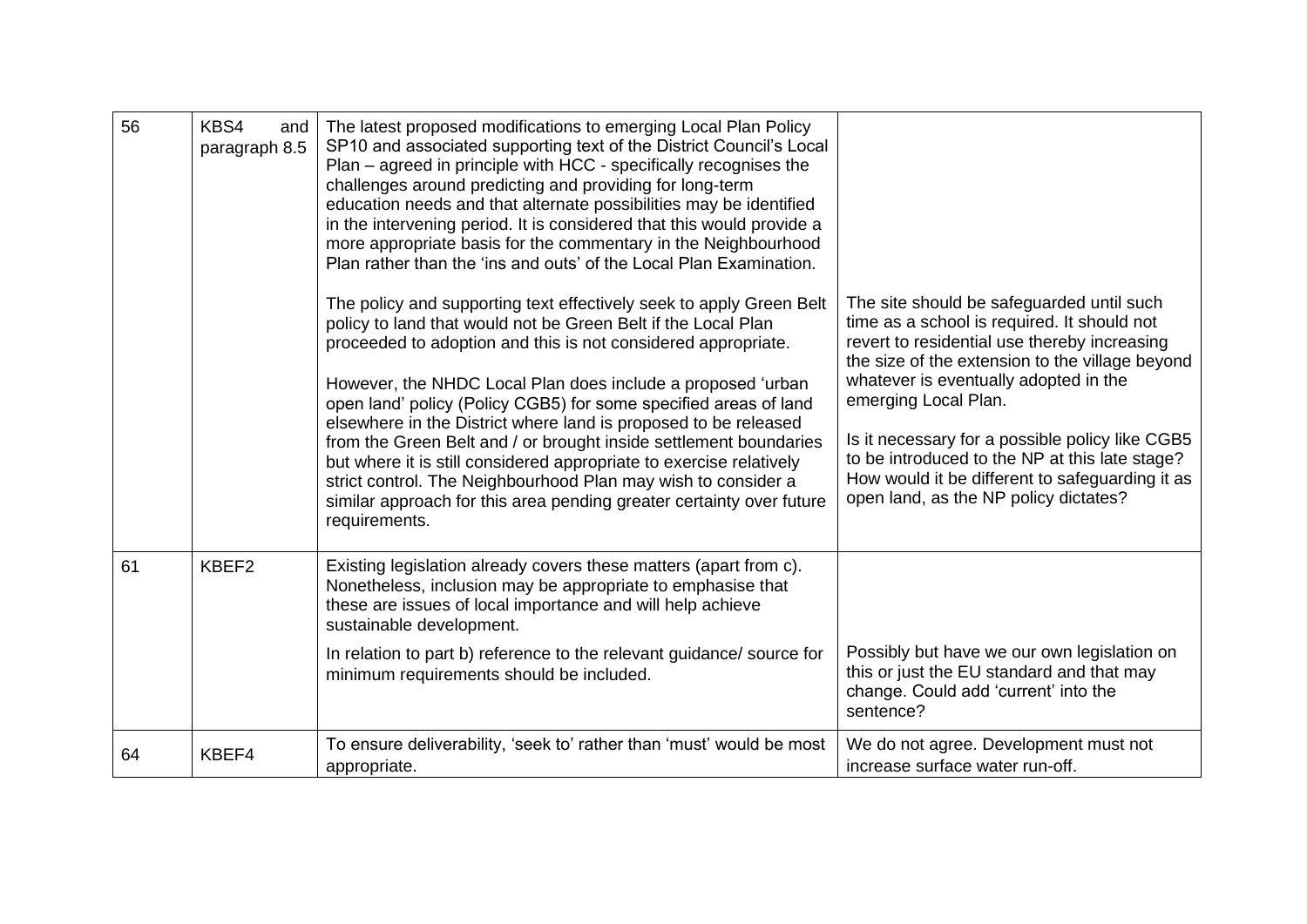| 56 | KBS4<br>and<br>paragraph 8.5 | The latest proposed modifications to emerging Local Plan Policy<br>SP10 and associated supporting text of the District Council's Local<br>Plan – agreed in principle with HCC - specifically recognises the<br>challenges around predicting and providing for long-term<br>education needs and that alternate possibilities may be identified<br>in the intervening period. It is considered that this would provide a<br>more appropriate basis for the commentary in the Neighbourhood<br>Plan rather than the 'ins and outs' of the Local Plan Examination.                                                                                                                                                    |                                                                                                                                                                                                                                                                                                                                                                                                                                                               |
|----|------------------------------|-------------------------------------------------------------------------------------------------------------------------------------------------------------------------------------------------------------------------------------------------------------------------------------------------------------------------------------------------------------------------------------------------------------------------------------------------------------------------------------------------------------------------------------------------------------------------------------------------------------------------------------------------------------------------------------------------------------------|---------------------------------------------------------------------------------------------------------------------------------------------------------------------------------------------------------------------------------------------------------------------------------------------------------------------------------------------------------------------------------------------------------------------------------------------------------------|
|    |                              | The policy and supporting text effectively seek to apply Green Belt<br>policy to land that would not be Green Belt if the Local Plan<br>proceeded to adoption and this is not considered appropriate.<br>However, the NHDC Local Plan does include a proposed 'urban<br>open land' policy (Policy CGB5) for some specified areas of land<br>elsewhere in the District where land is proposed to be released<br>from the Green Belt and / or brought inside settlement boundaries<br>but where it is still considered appropriate to exercise relatively<br>strict control. The Neighbourhood Plan may wish to consider a<br>similar approach for this area pending greater certainty over future<br>requirements. | The site should be safeguarded until such<br>time as a school is required. It should not<br>revert to residential use thereby increasing<br>the size of the extension to the village beyond<br>whatever is eventually adopted in the<br>emerging Local Plan.<br>Is it necessary for a possible policy like CGB5<br>to be introduced to the NP at this late stage?<br>How would it be different to safeguarding it as<br>open land, as the NP policy dictates? |
| 61 | KBEF2                        | Existing legislation already covers these matters (apart from c).<br>Nonetheless, inclusion may be appropriate to emphasise that<br>these are issues of local importance and will help achieve<br>sustainable development.                                                                                                                                                                                                                                                                                                                                                                                                                                                                                        |                                                                                                                                                                                                                                                                                                                                                                                                                                                               |
|    |                              | In relation to part b) reference to the relevant guidance/ source for<br>minimum requirements should be included.                                                                                                                                                                                                                                                                                                                                                                                                                                                                                                                                                                                                 | Possibly but have we our own legislation on<br>this or just the EU standard and that may<br>change. Could add 'current' into the<br>sentence?                                                                                                                                                                                                                                                                                                                 |
| 64 | KBEF4                        | To ensure deliverability, 'seek to' rather than 'must' would be most<br>appropriate.                                                                                                                                                                                                                                                                                                                                                                                                                                                                                                                                                                                                                              | We do not agree. Development must not<br>increase surface water run-off.                                                                                                                                                                                                                                                                                                                                                                                      |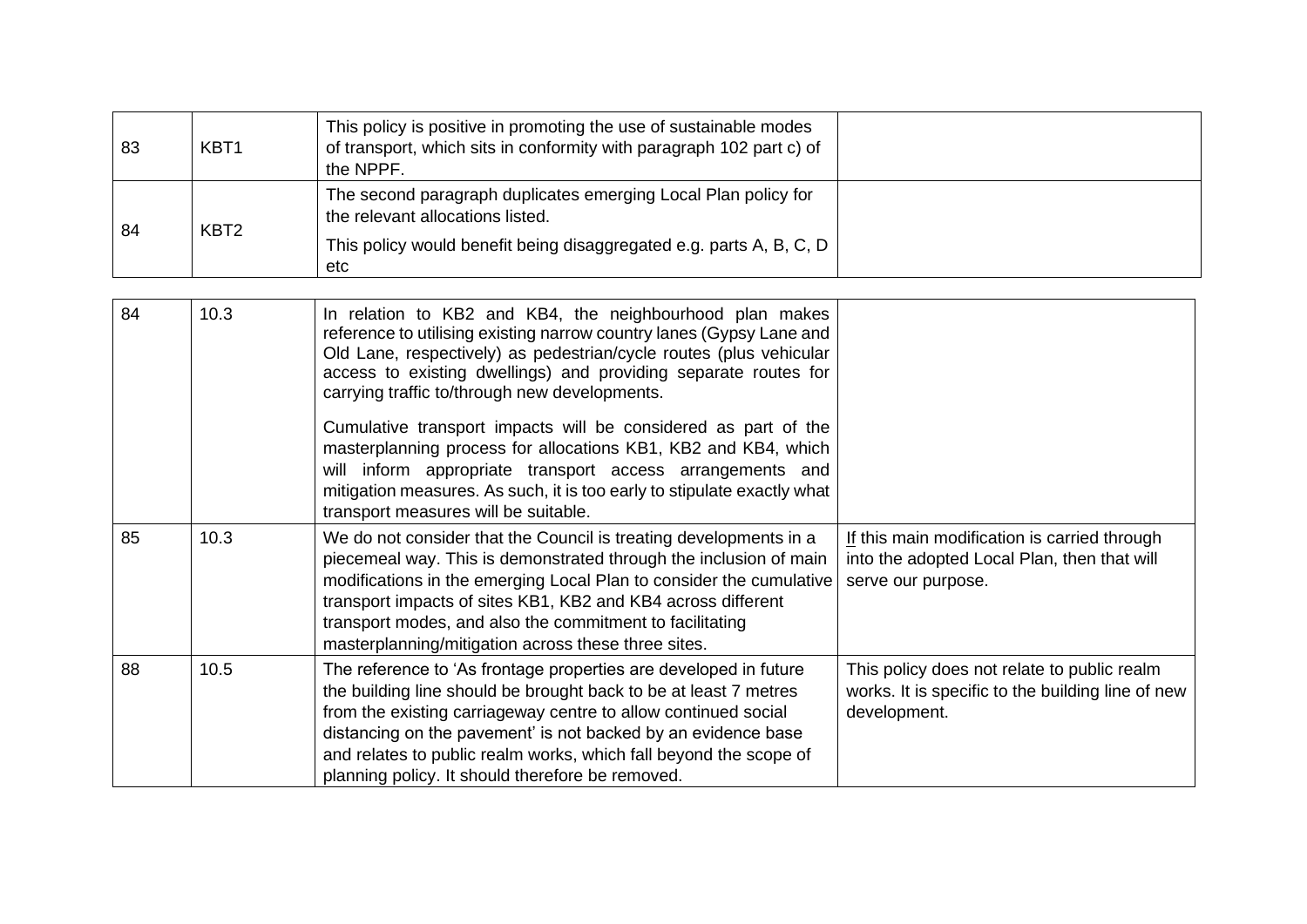| 83 | KBT <sub>1</sub> | This policy is positive in promoting the use of sustainable modes<br>of transport, which sits in conformity with paragraph 102 part c) of<br>the NPPF.                           |  |
|----|------------------|----------------------------------------------------------------------------------------------------------------------------------------------------------------------------------|--|
| 84 | KBT <sub>2</sub> | The second paragraph duplicates emerging Local Plan policy for<br>the relevant allocations listed.<br>This policy would benefit being disaggregated e.g. parts A, B, C, D<br>etc |  |

| 84 | 10.3 | In relation to KB2 and KB4, the neighbourhood plan makes<br>reference to utilising existing narrow country lanes (Gypsy Lane and<br>Old Lane, respectively) as pedestrian/cycle routes (plus vehicular<br>access to existing dwellings) and providing separate routes for<br>carrying traffic to/through new developments.                                                                       |                                                                                                                   |
|----|------|--------------------------------------------------------------------------------------------------------------------------------------------------------------------------------------------------------------------------------------------------------------------------------------------------------------------------------------------------------------------------------------------------|-------------------------------------------------------------------------------------------------------------------|
|    |      | Cumulative transport impacts will be considered as part of the<br>masterplanning process for allocations KB1, KB2 and KB4, which<br>will inform appropriate transport access arrangements and<br>mitigation measures. As such, it is too early to stipulate exactly what<br>transport measures will be suitable.                                                                                 |                                                                                                                   |
| 85 | 10.3 | We do not consider that the Council is treating developments in a<br>piecemeal way. This is demonstrated through the inclusion of main<br>modifications in the emerging Local Plan to consider the cumulative<br>transport impacts of sites KB1, KB2 and KB4 across different<br>transport modes, and also the commitment to facilitating<br>masterplanning/mitigation across these three sites. | If this main modification is carried through<br>into the adopted Local Plan, then that will<br>serve our purpose. |
| 88 | 10.5 | The reference to 'As frontage properties are developed in future<br>the building line should be brought back to be at least 7 metres<br>from the existing carriageway centre to allow continued social<br>distancing on the pavement' is not backed by an evidence base<br>and relates to public realm works, which fall beyond the scope of<br>planning policy. It should therefore be removed. | This policy does not relate to public realm<br>works. It is specific to the building line of new<br>development.  |